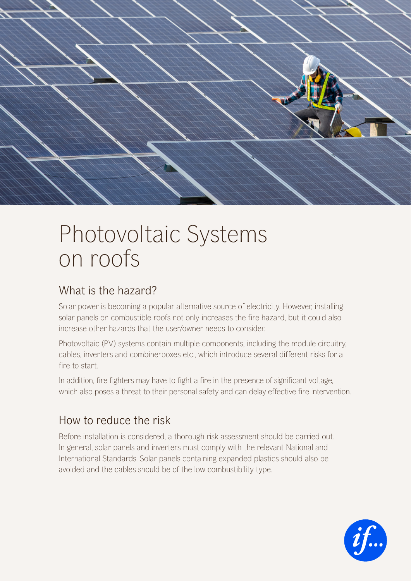

# Photovoltaic Systems on roofs

## What is the hazard?

Solar power is becoming a popular alternative source of electricity. However, installing solar panels on combustible roofs not only increases the fire hazard, but it could also increase other hazards that the user/owner needs to consider.

Photovoltaic (PV) systems contain multiple components, including the module circuitry, cables, inverters and combinerboxes etc., which introduce several different risks for a fire to start.

In addition, fire fighters may have to fight a fire in the presence of significant voltage, which also poses a threat to their personal safety and can delay effective fire intervention.

# How to reduce the risk

Before installation is considered, a thorough risk assessment should be carried out. In general, solar panels and inverters must comply with the relevant National and International Standards. Solar panels containing expanded plastics should also be avoided and the cables should be of the low combustibility type.

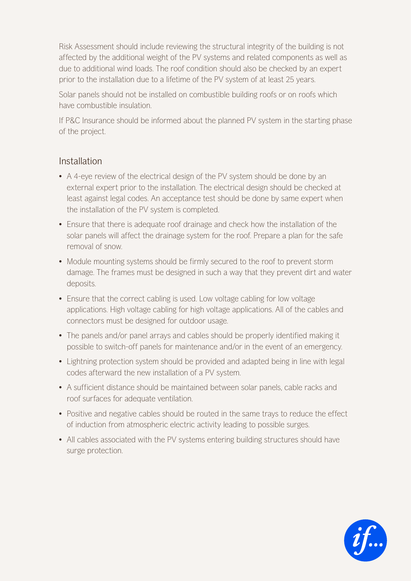Risk Assessment should include reviewing the structural integrity of the building is not affected by the additional weight of the PV systems and related components as well as due to additional wind loads. The roof condition should also be checked by an expert prior to the installation due to a lifetime of the PV system of at least 25 years.

Solar panels should not be installed on combustible building roofs or on roofs which have combustible insulation.

If P&C Insurance should be informed about the planned PV system in the starting phase of the project.

#### Installation

- A 4-eye review of the electrical design of the PV system should be done by an external expert prior to the installation. The electrical design should be checked at least against legal codes. An acceptance test should be done by same expert when the installation of the PV system is completed.
- Ensure that there is adequate roof drainage and check how the installation of the solar panels will affect the drainage system for the roof. Prepare a plan for the safe removal of snow.
- Module mounting systems should be firmly secured to the roof to prevent storm damage. The frames must be designed in such a way that they prevent dirt and water deposits.
- Ensure that the correct cabling is used. Low voltage cabling for low voltage applications. High voltage cabling for high voltage applications. All of the cables and connectors must be designed for outdoor usage.
- The panels and/or panel arrays and cables should be properly identified making it possible to switch-off panels for maintenance and/or in the event of an emergency.
- Lightning protection system should be provided and adapted being in line with legal codes afterward the new installation of a PV system.
- A sufficient distance should be maintained between solar panels, cable racks and roof surfaces for adequate ventilation.
- Positive and negative cables should be routed in the same trays to reduce the effect of induction from atmospheric electric activity leading to possible surges.
- All cables associated with the PV systems entering building structures should have surge protection.

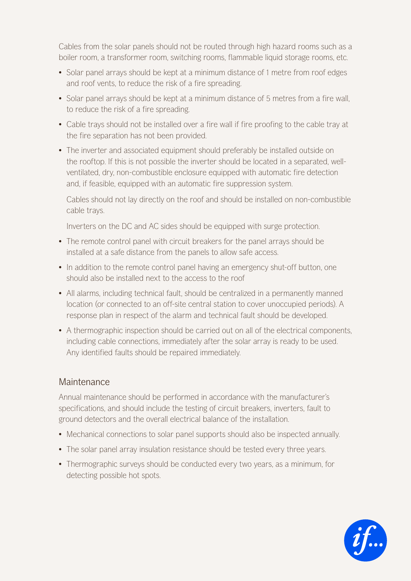Cables from the solar panels should not be routed through high hazard rooms such as a boiler room, a transformer room, switching rooms, flammable liquid storage rooms, etc.

- Solar panel arrays should be kept at a minimum distance of 1 metre from roof edges and roof vents, to reduce the risk of a fire spreading.
- Solar panel arrays should be kept at a minimum distance of 5 metres from a fire wall, to reduce the risk of a fire spreading.
- Cable trays should not be installed over a fire wall if fire proofing to the cable tray at the fire separation has not been provided.
- The inverter and associated equipment should preferably be installed outside on the rooftop. If this is not possible the inverter should be located in a separated, wellventilated, dry, non-combustible enclosure equipped with automatic fire detection and, if feasible, equipped with an automatic fire suppression system.

Cables should not lay directly on the roof and should be installed on non-combustible cable trays.

Inverters on the DC and AC sides should be equipped with surge protection.

- The remote control panel with circuit breakers for the panel arrays should be installed at a safe distance from the panels to allow safe access.
- In addition to the remote control panel having an emergency shut-off button, one should also be installed next to the access to the roof
- All alarms, including technical fault, should be centralized in a permanently manned location (or connected to an off-site central station to cover unoccupied periods). A response plan in respect of the alarm and technical fault should be developed.
- A thermographic inspection should be carried out on all of the electrical components, including cable connections, immediately after the solar array is ready to be used. Any identified faults should be repaired immediately.

#### Maintenance

Annual maintenance should be performed in accordance with the manufacturer's specifications, and should include the testing of circuit breakers, inverters, fault to ground detectors and the overall electrical balance of the installation.

- Mechanical connections to solar panel supports should also be inspected annually.
- The solar panel array insulation resistance should be tested every three years.
- Thermographic surveys should be conducted every two years, as a minimum, for detecting possible hot spots.